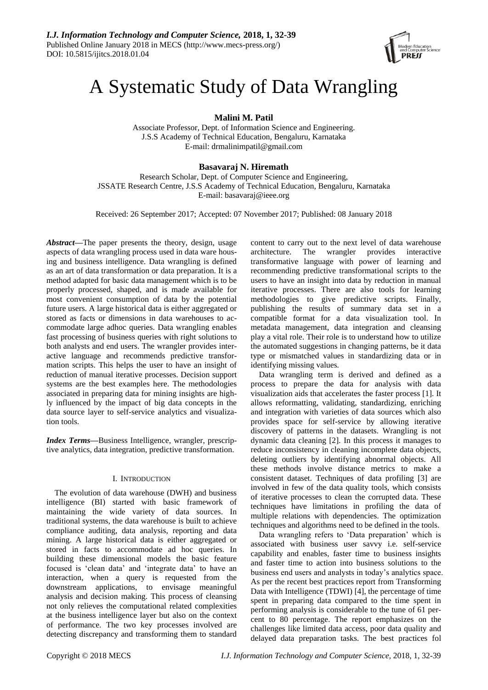

# A Systematic Study of Data Wrangling

**Malini M. Patil**

Associate Professor, Dept. of Information Science and Engineering. J.S.S Academy of Technical Education, Bengaluru, Karnataka E-mail: drmalinimpatil@gmail.com

# **Basavaraj N. Hiremath**

Research Scholar, Dept. of Computer Science and Engineering, JSSATE Research Centre, J.S.S Academy of Technical Education, Bengaluru, Karnataka E-mail: basavaraj@ieee.org

Received: 26 September 2017; Accepted: 07 November 2017; Published: 08 January 2018

*Abstract—*The paper presents the theory, design, usage aspects of data wrangling process used in data ware housing and business intelligence. Data wrangling is defined as an art of data transformation or data preparation. It is a method adapted for basic data management which is to be properly processed, shaped, and is made available for most convenient consumption of data by the potential future users. A large historical data is either aggregated or stored as facts or dimensions in data warehouses to accommodate large adhoc queries. Data wrangling enables fast processing of business queries with right solutions to both analysts and end users. The wrangler provides interactive language and recommends predictive transformation scripts. This helps the user to have an insight of reduction of manual iterative processes. Decision support systems are the best examples here. The methodologies associated in preparing data for mining insights are highly influenced by the impact of big data concepts in the data source layer to self-service analytics and visualization tools.

*Index Terms***—**Business Intelligence, wrangler, prescriptive analytics, data integration, predictive transformation.

# I. INTRODUCTION

The evolution of data warehouse (DWH) and business intelligence (BI) started with basic framework of maintaining the wide variety of data sources. In traditional systems, the data warehouse is built to achieve compliance auditing, data analysis, reporting and data mining. A large historical data is either aggregated or stored in facts to accommodate ad hoc queries. In building these dimensional models the basic feature focused is "clean data" and "integrate data" to have an interaction, when a query is requested from the downstream applications, to envisage meaningful analysis and decision making. This process of cleansing not only relieves the computational related complexities at the business intelligence layer but also on the context of performance. The two key processes involved are detecting discrepancy and transforming them to standard content to carry out to the next level of data warehouse architecture. The wrangler provides interactive transformative language with power of learning and recommending predictive transformational scripts to the users to have an insight into data by reduction in manual iterative processes. There are also tools for learning methodologies to give predictive scripts. Finally, publishing the results of summary data set in a compatible format for a data visualization tool. In metadata management, data integration and cleansing play a vital role. Their role is to understand how to utilize the automated suggestions in changing patterns, be it data type or mismatched values in standardizing data or in identifying missing values*.*

Data wrangling term is derived and defined as a process to prepare the data for analysis with data visualization aids that accelerates the faster process [1]. It allows reformatting, validating, standardizing, enriching and integration with varieties of data sources which also provides space for self-service by allowing iterative discovery of patterns in the datasets. Wrangling is not dynamic data cleaning [2]. In this process it manages to reduce inconsistency in cleaning incomplete data objects, deleting outliers by identifying abnormal objects. All these methods involve distance metrics to make a consistent dataset. Techniques of data profiling [3] are involved in few of the data quality tools, which consists of iterative processes to clean the corrupted data. These techniques have limitations in profiling the data of multiple relations with dependencies. The optimization techniques and algorithms need to be defined in the tools.

Data wrangling refers to "Data preparation" which is associated with business user savvy i.e. self-service capability and enables, faster time to business insights and faster time to action into business solutions to the business end users and analysts in today"s analytics space. As per the recent best practices report from Transforming Data with Intelligence (TDWI) [4], the percentage of time spent in preparing data compared to the time spent in performing analysis is considerable to the tune of 61 percent to 80 percentage. The report emphasizes on the challenges like limited data access, poor data quality and delayed data preparation tasks. The best practices fol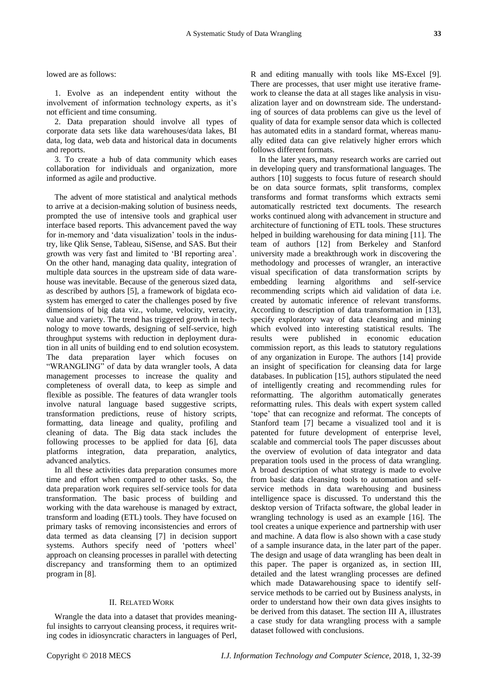lowed are as follows:

1. Evolve as an independent entity without the involvement of information technology experts, as it's not efficient and time consuming.

2. Data preparation should involve all types of corporate data sets like data warehouses/data lakes, BI data, log data, web data and historical data in documents and reports.

3. To create a hub of data community which eases collaboration for individuals and organization, more informed as agile and productive.

The advent of more statistical and analytical methods to arrive at a decision-making solution of business needs, prompted the use of intensive tools and graphical user interface based reports. This advancement paved the way for in-memory and "data visualization" tools in the industry, like Qlik Sense, Tableau, SiSense, and SAS. But their growth was very fast and limited to "BI reporting area". On the other hand, managing data quality, integration of multiple data sources in the upstream side of data warehouse was inevitable. Because of the generous sized data, as described by authors [5], a framework of bigdata ecosystem has emerged to cater the challenges posed by five dimensions of big data viz., volume, velocity, veracity, value and variety. The trend has triggered growth in technology to move towards, designing of self-service, high throughput systems with reduction in deployment duration in all units of building end to end solution ecosystem. The data preparation layer which focuses on "WRANGLING" of data by data wrangler tools, A data management processes to increase the quality and completeness of overall data, to keep as simple and flexible as possible. The features of data wrangler tools involve natural language based suggestive scripts, transformation predictions, reuse of history scripts, formatting, data lineage and quality, profiling and cleaning of data. The Big data stack includes the following processes to be applied for data [6], data platforms integration, data preparation, analytics, advanced analytics.

In all these activities data preparation consumes more time and effort when compared to other tasks. So, the data preparation work requires self-service tools for data transformation. The basic process of building and working with the data warehouse is managed by extract, transform and loading (ETL) tools. They have focused on primary tasks of removing inconsistencies and errors of data termed as data cleansing [7] in decision support systems. Authors specify need of "potters wheel" approach on cleansing processes in parallel with detecting discrepancy and transforming them to an optimized program in [8].

# II. RELATED WORK

Wrangle the data into a dataset that provides meaningful insights to carryout cleansing process, it requires writing codes in idiosyncratic characters in languages of Perl, R and editing manually with tools like MS-Excel [9]. There are processes, that user might use iterative framework to cleanse the data at all stages like analysis in visualization layer and on downstream side. The understanding of sources of data problems can give us the level of quality of data for example sensor data which is collected has automated edits in a standard format, whereas manually edited data can give relatively higher errors which follows different formats.

In the later years, many research works are carried out in developing query and transformational languages. The authors [10] suggests to focus future of research should be on data source formats, split transforms, complex transforms and format transforms which extracts semi automatically restricted text documents. The research works continued along with advancement in structure and architecture of functioning of ETL tools. These structures helped in building warehousing for data mining [11]. The team of authors [12] from Berkeley and Stanford university made a breakthrough work in discovering the methodology and processes of wrangler, an interactive visual specification of data transformation scripts by embedding learning algorithms and self-service recommending scripts which aid validation of data i.e. created by automatic inference of relevant transforms. According to description of data transformation in [13], specify exploratory way of data cleansing and mining which evolved into interesting statistical results. The results were published in economic education commission report, as this leads to statutory regulations of any organization in Europe. The authors [14] provide an insight of specification for cleansing data for large databases. In publication [15], authors stipulated the need of intelligently creating and recommending rules for reformatting. The algorithm automatically generates reformatting rules. This deals with expert system called "tope" that can recognize and reformat. The concepts of Stanford team [7] became a visualized tool and it is patented for future development of enterprise level, scalable and commercial tools The paper discusses about the overview of evolution of data integrator and data preparation tools used in the process of data wrangling. A broad description of what strategy is made to evolve from basic data cleansing tools to automation and selfservice methods in data warehousing and business intelligence space is discussed. To understand this the desktop version of Trifacta software, the global leader in wrangling technology is used as an example [16]. The tool creates a unique experience and partnership with user and machine. A data flow is also shown with a case study of a sample insurance data, in the later part of the paper. The design and usage of data wrangling has been dealt in this paper. The paper is organized as, in section III, detailed and the latest wrangling processes are defined which made Datawarehousing space to identify selfservice methods to be carried out by Business analysts, in order to understand how their own data gives insights to be derived from this dataset. The section III A, illustrates a case study for data wrangling process with a sample dataset followed with conclusions.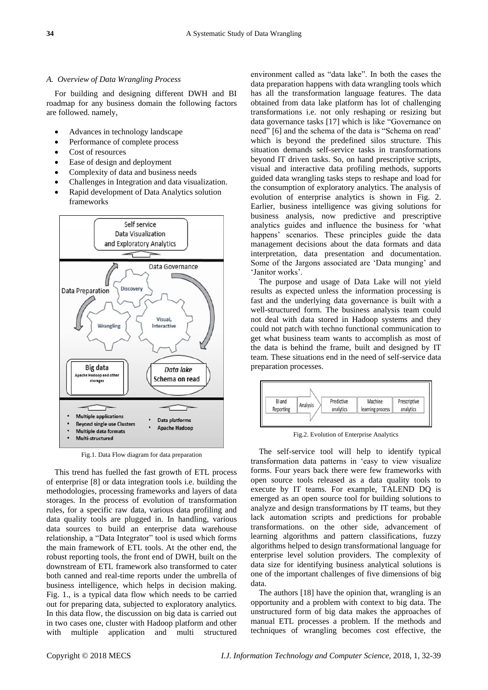#### *A. Overview of Data Wrangling Process*

For building and designing different DWH and BI roadmap for any business domain the following factors are followed. namely,

- Advances in technology landscape
- Performance of complete process
- Cost of resources
- Ease of design and deployment
- Complexity of data and business needs
- Challenges in Integration and data visualization. Rapid development of Data Analytics solution
- frameworks



Fig.1. Data Flow diagram for data preparation

This trend has fuelled the fast growth of ETL process of enterprise [8] or data integration tools i.e. building the methodologies, processing frameworks and layers of data storages. In the process of evolution of transformation rules, for a specific raw data, various data profiling and data quality tools are plugged in. In handling, various data sources to build an enterprise data warehouse relationship, a "Data Integrator" tool is used which forms the main framework of ETL tools. At the other end, the robust reporting tools, the front end of DWH, built on the downstream of ETL framework also transformed to cater both canned and real-time reports under the umbrella of business intelligence, which helps in decision making. Fig. 1., is a typical data flow which needs to be carried out for preparing data, subjected to exploratory analytics. In this data flow, the discussion on big data is carried out in two cases one, cluster with Hadoop platform and other with multiple application and multi structured

environment called as "data lake". In both the cases the data preparation happens with data wrangling tools which has all the transformation language features. The data obtained from data lake platform has lot of challenging transformations i.e. not only reshaping or resizing but data governance tasks [17] which is like "Governance on need" [6] and the schema of the data is "Schema on read" which is beyond the predefined silos structure. This situation demands self-service tasks in transformations beyond IT driven tasks. So, on hand prescriptive scripts, visual and interactive data profiling methods, supports guided data wrangling tasks steps to reshape and load for the consumption of exploratory analytics. The analysis of evolution of enterprise analytics is shown in Fig. 2. Earlier, business intelligence was giving solutions for business analysis, now predictive and prescriptive analytics guides and influence the business for "what happens' scenarios. These principles guide the data management decisions about the data formats and data interpretation, data presentation and documentation. Some of the Jargons associated are 'Data munging' and 'Janitor works'.

The purpose and usage of Data Lake will not yield results as expected unless the information processing is fast and the underlying data governance is built with a well-structured form. The business analysis team could not deal with data stored in Hadoop systems and they could not patch with techno functional communication to get what business team wants to accomplish as most of the data is behind the frame, built and designed by IT team. These situations end in the need of self-service data preparation processes.



Fig.2. Evolution of Enterprise Analytics

The self-service tool will help to identify typical transformation data patterns in "easy to view visualize forms. Four years back there were few frameworks with open source tools released as a data quality tools to execute by IT teams. For example, TALEND DQ is emerged as an open source tool for building solutions to analyze and design transformations by IT teams, but they lack automation scripts and predictions for probable transformations. on the other side, advancement of learning algorithms and pattern classifications, fuzzy algorithms helped to design transformational language for enterprise level solution providers. The complexity of data size for identifying business analytical solutions is one of the important challenges of five dimensions of big data.

The authors [18] have the opinion that, wrangling is an opportunity and a problem with context to big data. The unstructured form of big data makes the approaches of manual ETL processes a problem. If the methods and techniques of wrangling becomes cost effective, the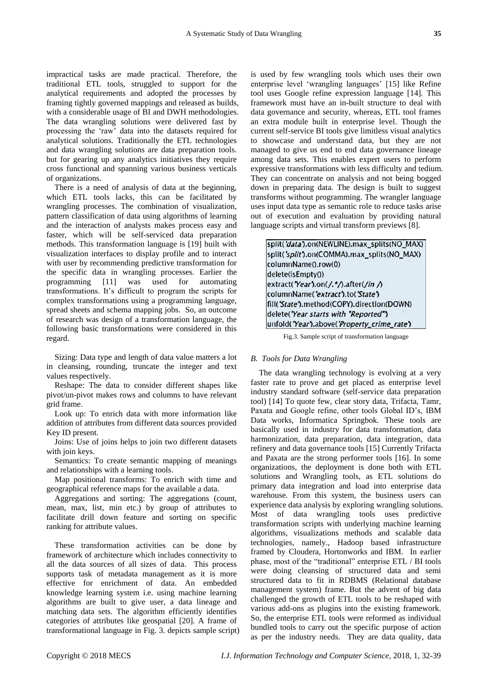impractical tasks are made practical. Therefore, the traditional ETL tools, struggled to support for the analytical requirements and adopted the processes by framing tightly governed mappings and released as builds, with a considerable usage of BI and DWH methodologies. The data wrangling solutions were delivered fast by processing the "raw" data into the datasets required for analytical solutions. Traditionally the ETL technologies and data wrangling solutions are data preparation tools. but for gearing up any analytics initiatives they require cross functional and spanning various business verticals of organizations.

There is a need of analysis of data at the beginning, which ETL tools lacks, this can be facilitated by wrangling processes. The combination of visualization, pattern classification of data using algorithms of learning and the interaction of analysts makes process easy and faster, which will be self-serviced data preparation methods. This transformation language is [19] built with visualization interfaces to display profile and to interact with user by recommending predictive transformation for the specific data in wrangling processes. Earlier the programming [11] was used for automating transformations. It's difficult to program the scripts for complex transformations using a programming language, spread sheets and schema mapping jobs. So, an outcome of research was design of a transformation language, the following basic transformations were considered in this regard.

Sizing: Data type and length of data value matters a lot in cleansing, rounding, truncate the integer and text values respectively.

Reshape: The data to consider different shapes like pivot/un-pivot makes rows and columns to have relevant grid frame.

Look up: To enrich data with more information like addition of attributes from different data sources provided Key ID present.

Joins: Use of joins helps to join two different datasets with join keys.

Semantics: To create semantic mapping of meanings and relationships with a learning tools.

Map positional transforms: To enrich with time and geographical reference maps for the available a data.

Aggregations and sorting: The aggregations (count, mean, max, list, min etc.) by group of attributes to facilitate drill down feature and sorting on specific ranking for attribute values.

These transformation activities can be done by framework of architecture which includes connectivity to all the data sources of all sizes of data. This process supports task of metadata management as it is more effective for enrichment of data. An embedded knowledge learning system i.e. using machine learning algorithms are built to give user, a data lineage and matching data sets. The algorithm efficiently identifies categories of attributes like geospatial [20]. A frame of transformational language in Fig. 3. depicts sample script) is used by few wrangling tools which uses their own enterprise level "wrangling languages" [15] like Refine tool uses Google refine expression language [14]. This framework must have an in-built structure to deal with data governance and security, whereas, ETL tool frames an extra module built in enterprise level. Though the current self-service BI tools give limitless visual analytics to showcase and understand data, but they are not managed to give us end to end data governance lineage among data sets. This enables expert users to perform expressive transformations with less difficulty and tedium. They can concentrate on analysis and not being bogged down in preparing data. The design is built to suggest transforms without programming. The wrangler language uses input data type as semantic role to reduce tasks arise out of execution and evaluation by providing natural language scripts and virtual transform previews [8].

split('data').on(NEWLINE).max\_splits(NO\_MAX) split('split').on(COMMA).max\_splits(NO\_MAX) columnName().row(0) delete(isEmpty()) extract('Year').on(/.\*/).after(/in /) columnName('extract').to('State') fill('State').method(COPY).direction(DOWN) delete('Year starts with "Reported") unfold('Year').above('Property\_crime\_rate')

Fig.3. Sample script of transformation language

#### *B. Tools for Data Wrangling*

The data wrangling technology is evolving at a very faster rate to prove and get placed as enterprise level industry standard software (self-service data preparation tool) [14] To quote few, clear story data, Trifacta, Tamr, Paxata and Google refine, other tools Global ID"s, IBM Data works, Informatica Springbok. These tools are basically used in industry for data transformation, data harmonization, data preparation, data integration, data refinery and data governance tools [15] Currently Trifacta and Paxata are the strong performer tools [16]. In some organizations, the deployment is done both with ETL solutions and Wrangling tools, as ETL solutions do primary data integration and load into enterprise data warehouse. From this system, the business users can experience data analysis by exploring wrangling solutions. Most of data wrangling tools uses predictive transformation scripts with underlying machine learning algorithms, visualizations methods and scalable data technologies, namely., Hadoop based infrastructure framed by Cloudera, Hortonworks and IBM. In earlier phase, most of the "traditional" enterprise ETL / BI tools were doing cleansing of structured data and semi structured data to fit in RDBMS (Relational database management system) frame. But the advent of big data challenged the growth of ETL tools to be reshaped with various add-ons as plugins into the existing framework. So, the enterprise ETL tools were reformed as individual bundled tools to carry out the specific purpose of action as per the industry needs. They are data quality, data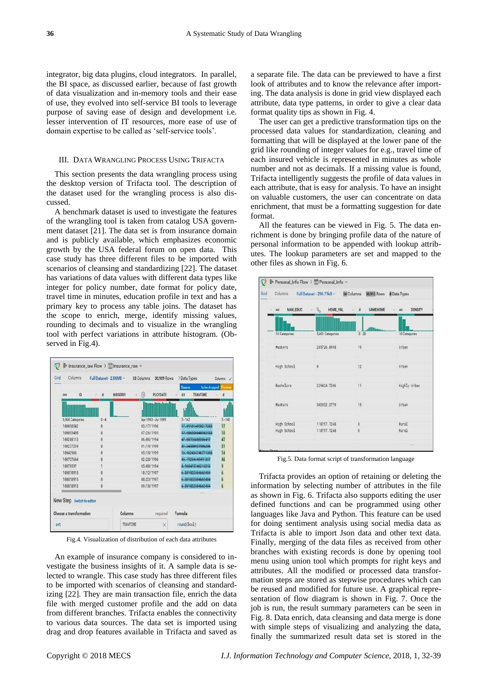integrator, big data plugins, cloud integrators. In parallel, the BI space, as discussed earlier, because of fast growth of data visualization and in-memory tools and their ease of use, they evolved into self-service BI tools to leverage purpose of saving ease of design and development i.e. lesser intervention of IT resources, more ease of use of domain expertise to be called as "self-service tools".

# III. DATA WRANGLING PROCESS USING TRIFACTA

This section presents the data wrangling process using the desktop version of Trifacta tool. The description of the dataset used for the wrangling process is also discussed.

A benchmark dataset is used to investigate the features of the wrangling tool is taken from catalog USA government dataset [21]. The data set is from insurance domain and is publicly available, which emphasizes economic growth by the USA federal forum on open data. This case study has three different files to be imported with scenarios of cleansing and standardizing [22]. The dataset has variations of data values with different data types like integer for policy number, date format for policy date, travel time in minutes, education profile in text and has a primary key to process any table joins. The dataset has the scope to enrich, merge, identify missing values, rounding to decimals and to visualize in the wrangling tool with perfect variations in attribute histogram. (Observed in Fig.4).

| 6.966 Categories | $0 - 4$  |                     |                    |              |
|------------------|----------|---------------------|--------------------|--------------|
|                  |          |                     |                    |              |
|                  |          |                     |                    |              |
|                  |          | Apr 1993 - Jul 1999 | $5 - 142$          | $5 - 142$    |
| 100058542        | $\theta$ | 03/17/1996          | 17.001814008217203 | 17           |
| 188893488        |          | 87/26/1993          | 17.986556848942933 | 18           |
| 100208113        | ø        | 86/86/1994          | 47.80726888306497  | 47           |
| 100237269        | ø        | 81/19/1999          | 31.24388927986286  | 31           |
| 10042968         |          | 05/18/1999          | 13.962434746771383 | 14           |
| 100737644        |          | 82/28/1996          | 45.70284448401337  | 46<br>9<br>6 |
| 10078597         |          | 85/88/1994          | 8.068475746215203  |              |
| 188318915        |          | 10/12/1997          | 6-381822584662484  |              |
| 188818915        |          | 88/23/1997          | 6.381022594662484  | 6 6          |
| 188818915        | ø        | 89/18/1997          | 6.381022504662484  |              |
|                  |          |                     |                    |              |

Fig.4. Visualization of distribution of each data attributes

An example of insurance company is considered to investigate the business insights of it. A sample data is selected to wrangle. This case study has three different files to be imported with scenarios of cleansing and standardizing [22]. They are main transaction file, enrich the data file with merged customer profile and the add on data from different branches. Trifacta enables the connectivity to various data sources. The data set is imported using drag and drop features available in Trifacta and saved as

a separate file. The data can be previewed to have a first look of attributes and to know the relevance after importing. The data analysis is done in grid view displayed each attribute, data type patterns, in order to give a clear data format quality tips as shown in Fig. 4.

The user can get a predictive transformation tips on the processed data values for standardization, cleaning and formatting that will be displayed at the lower pane of the grid like rounding of integer values for e.g., travel time of each insured vehicle is represented in minutes as whole number and not as decimals. If a missing value is found, Trifacta intelligently suggests the profile of data values in each attribute, that is easy for analysis. To have an insight on valuable customers, the user can concentrate on data enrichment, that must be a formatting suggestion for date format.

All the features can be viewed in Fig. 5. The data enrichment is done by bringing profile data of the nature of personal information to be appended with lookup attributes. The lookup parameters are set and mapped to the other files as shown in Fig. 6.



Fig.5. Data format script of transformation language

Trifacta provides an option of retaining or deleting the information by selecting number of attributes in the file as shown in Fig. 6. Trifacta also supports editing the user defined functions and can be programmed using other languages like Java and Python. This feature can be used for doing sentiment analysis using social media data as Trifacta is able to import Json data and other text data. Finally, merging of the data files as received from other branches with existing records is done by opening tool menu using union tool which prompts for right keys and attributes. All the modified or processed data transformation steps are stored as stepwise procedures which can be reused and modified for future use. A graphical representation of flow diagram is shown in Fig. 7. Once the job is run, the result summary parameters can be seen in Fig. 8. Data enrich, data cleansing and data merge is done with simple steps of visualizing and analyzing the data, finally the summarized result data set is stored in the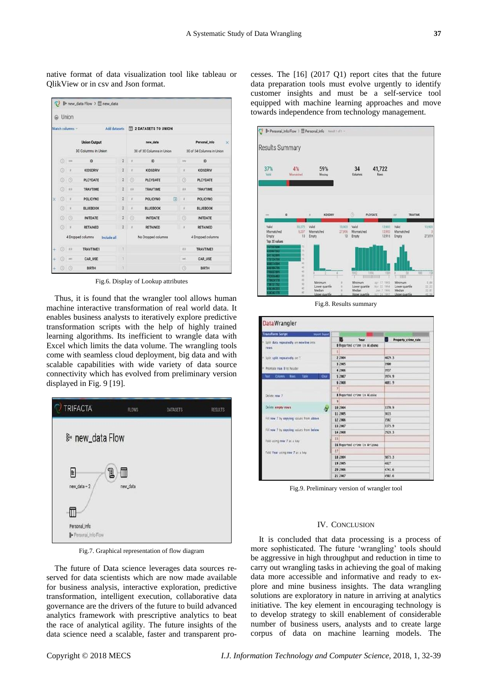native format of data visualization tool like tableau or QlikView or in csv and Json format.

|   | Match columns ~<br>Add datasets  |               |                     |                | 2 DATASETS TO UNION       |                 |   |                           |                           |  |  |
|---|----------------------------------|---------------|---------------------|----------------|---------------------------|-----------------|---|---------------------------|---------------------------|--|--|
|   |                                  |               | <b>Union Output</b> |                | new data                  |                 |   | Personal Info<br>$\times$ |                           |  |  |
|   | 30 Columns in Union              |               |                     |                | 30 of 30 Columns in Union |                 |   |                           | 30 of 34 Columns in Union |  |  |
|   | 0                                | 334           | ID.                 | $\overline{2}$ |                           | ID              |   | 10%                       | ID.                       |  |  |
|   | $\circledcirc$                   |               | <b>KIDSDRIV</b>     | $\overline{2}$ |                           | <b>KIDSDRIV</b> |   |                           | KIDSDRIV                  |  |  |
|   | ø                                | o             | PLCYDATE            | $\overline{2}$ | ⊙                         | PLCYDATE        |   | $\circledcirc$            | <b>PLCYDATE</b>           |  |  |
|   | $\circ$                          | E.F           | <b>TRAVTIME</b>     | $\overline{2}$ | it is                     | <b>TRAVTIME</b> |   | 8.8                       | <b>TRAVTIME</b>           |  |  |
| × | Ø                                |               | POLICYNO            | $\overline{2}$ |                           | <b>POLICYNO</b> | 田 | ×                         | <b>POLICYNO</b>           |  |  |
|   | $^{\circ}$                       |               | <b>BLUEBOOK</b>     | $\overline{2}$ |                           | <b>BLUEBOOK</b> |   | ı                         | <b>BLUEBOOK</b>           |  |  |
|   | $^{\circ}$                       | o             | <b>INITDATE</b>     | $\hat{z}$      | $\odot$                   | <b>INITOATE</b> |   | $\circledcirc$            | <b>INITDATE</b>           |  |  |
|   | $\odot$                          |               | <b>RETAINED</b>     | $\overline{2}$ |                           | <b>RETAINED</b> |   | $\blacksquare$            | <b>RETAINED</b>           |  |  |
|   | 4 Dropped columns<br>Include all |               |                     |                | No Dropped columns        |                 |   | 4 Dropped columns         |                           |  |  |
|   | ø                                | $\rightarrow$ | <b>TRAVTIME1</b>    | ï              |                           |                 |   | 788                       | <b>TRAVTIME1</b>          |  |  |
|   | Θ                                | se:           | <b>CAR USE</b>      |                |                           |                 |   | uc                        | <b>CAR USE</b>            |  |  |
|   | $^{\circ}$                       | O             | BIRTH               |                |                           |                 |   | $\odot$                   | BIRTH                     |  |  |

Fig.6. Display of Lookup attributes

Thus, it is found that the wrangler tool allows human machine interactive transformation of real world data. It enables business analysts to iteratively explore predictive transformation scripts with the help of highly trained learning algorithms. Its inefficient to wrangle data with Excel which limits the data volume. The wrangling tools come with seamless cloud deployment, big data and with scalable capabilities with wide variety of data source connectivity which has evolved from preliminary version displayed in Fig. 9 [19].



Fig.7. Graphical representation of flow diagram

The future of Data science leverages data sources reserved for data scientists which are now made available for business analysis, interactive exploration, predictive transformation, intelligent execution, collaborative data governance are the drivers of the future to build advanced analytics framework with prescriptive analytics to beat the race of analytical agility. The future insights of the data science need a scalable, faster and transparent processes. The [16] (2017 Q1) report cites that the future data preparation tools must evolve urgently to identify customer insights and must be a self-service tool equipped with machine learning approaches and move towards independence from technology management.



Fig.8. Results summary



Fig.9. Preliminary version of wrangler tool

### IV. CONCLUSION

It is concluded that data processing is a process of more sophisticated. The future "wrangling" tools should be aggressive in high throughput and reduction in time to carry out wrangling tasks in achieving the goal of making data more accessible and informative and ready to explore and mine business insights. The data wrangling solutions are exploratory in nature in arriving at analytics initiative. The key element in encouraging technology is to develop strategy to skill enablement of considerable number of business users, analysts and to create large corpus of data on machine learning models. The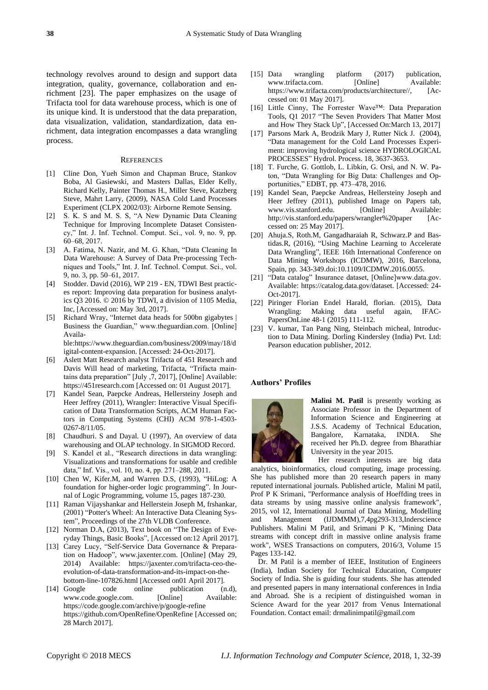technology revolves around to design and support data integration, quality, governance, collaboration and enrichment [23]. The paper emphasizes on the usage of Trifacta tool for data warehouse process, which is one of its unique kind. It is understood that the data preparation, data visualization, validation, standardization, data enrichment, data integration encompasses a data wrangling process.

#### **REFERENCES**

- [1] Cline Don, Yueh Simon and Chapman Bruce, Stankov Boba, Al Gasiewski, and Masters Dallas, Elder Kelly, Richard Kelly, Painter Thomas H., Miller Steve, Katzberg Steve, Mahrt Larry, (2009), NASA Cold Land Processes Experiment (CLPX 2002/03): Airborne Remote Sensing.
- [2] S. K. S and M. S. S, "A New Dynamic Data Cleaning Technique for Improving Incomplete Dataset Consistency," Int. J. Inf. Technol. Comput. Sci., vol. 9, no. 9, pp. 60–68, 2017.
- [3] A. Fatima, N. Nazir, and M. G. Khan, "Data Cleaning In Data Warehouse: A Survey of Data Pre-processing Techniques and Tools," Int. J. Inf. Technol. Comput. Sci., vol. 9, no. 3, pp. 50–61, 2017.
- [4] Stodder. David (2016), WP 219 EN, TDWI Best practices report: Improving data preparation for business analytics Q3 2016. © 2016 by TDWI, a division of 1105 Media, Inc, [Accessed on: May 3rd, 2017].
- [5] Richard Wray, "Internet data heads for 500bn gigabytes | Business the Guardian," www.theguardian.com. [Online] Available:https://www.theguardian.com/business/2009/may/18/d

igital-content-expansion. [Accessed: 24-Oct-2017].

- [6] Aslett Matt Research analyst Trifacta of 451 Research and Davis Will head of marketing, Trifacta, "Trifacta maintains data preparation" [July ,7, 2017], [Online] Available: https://451research.com [Accessed on: 01 August 2017].
- [7] Kandel Sean, Paepcke Andreas, Hellersteiny Joseph and Heer Jeffrey (2011), Wrangler: Interactive Visual Specification of Data Transformation Scripts, ACM Human Factors in Computing Systems (CHI) ACM 978-1-4503- 0267-8/11/05.
- [8] Chaudhuri. S and Dayal. U (1997), An overview of data warehousing and OLAP technology. In SIGMOD Record.
- [9] S. Kandel et al., "Research directions in data wrangling: Visualizations and transformations for usable and credible data," Inf. Vis., vol. 10, no. 4, pp. 271–288, 2011.
- [10] Chen W, Kifer.M, and Warren D.S, (1993), "HiLog: A foundation for higher-order logic programming". In Journal of Logic Programming, volume 15, pages 187-230.
- [11] Raman Vijayshankar and Hellerstein Joseph M, frshankar, (2001) "Potter's Wheel: An Interactive Data Cleaning System", Proceedings of the 27th VLDB Conference.
- [12] Norman D.A, (2013), Text book on "The Design of Everyday Things, Basic Books", [Accessed on:12 April 2017].
- [13] Carey Lucy, "Self-Service Data Governance & Preparation on Hadoop", www.jaxenter.com. [Online] (May 29, 2014) Available: https://jaxenter.com/trifacta-ceo-theevolution-of-data-transformation-and-its-impact-on-thebottom-line-107826.html [Accessed on01 April 2017].
- [14] Google code online publication (n.d), www.code.google.com. [Online] Available: https://code.google.com/archive/p/google-refine https://github.com/OpenRefine/OpenRefine [Accessed on; 28 March 2017].
- [15] Data wrangling platform (2017) publication, www.trifacta.com. [Online] Available: https://www.trifacta.com/products/architecture//, [Accessed on: 01 May 2017].
- [16] Little Cinny, The Forrester Wave™: Data Preparation Tools, Q1 2017 "The Seven Providers That Matter Most and How They Stack Up", [Accessed On:March 13, 2017]
- [17] Parsons Mark A, Brodzik Mary J, Rutter Nick J. (2004), "Data management for the Cold Land Processes Experiment: improving hydrological science HYDROLOGICAL PROCESSES" Hydrol. Process. 18, 3637-3653.
- [18] T. Furche, G. Gottlob, L. Libkin, G. Orsi, and N. W. Paton, "Data Wrangling for Big Data: Challenges and Opportunities," EDBT, pp. 473–478, 2016.
- [19] Kandel Sean, Paepcke Andreas, Hellersteiny Joseph and Heer Jeffrey (2011), published Image on Papers tab,<br>www.vis.stanford.edu. [Online] Available: www.vis.stanford.edu. http://vis.stanford.edu/papers/wrangler%20paper [Accessed on: 25 May 2017].
- [20] Ahuja.S, Roth.M, Gangadharaiah R, Schwarz.P and Bastidas.R, (2016), "Using Machine Learning to Accelerate Data Wrangling", IEEE 16th International Conference on Data Mining Workshops (ICDMW), 2016, Barcelona, Spain, pp. 343-349.doi:10.1109/ICDMW.2016.0055.
- [21] "Data catalog" Insurance dataset, [Online]www.data.gov. Available: https://catalog.data.gov/dataset. [Accessed: 24- Oct-2017].
- [22] Piringer Florian Endel Harald, florian. (2015), Data Wrangling: Making data useful again, IFAC-PapersOnLine 48-1 (2015) 111-112.
- [23] V. kumar, Tan Pang Ning, Steinbach micheal, Introduction to Data Mining. Dorling Kindersley (India) Pvt. Ltd: Pearson education publisher, 2012.

# **Authors' Profiles**



**Malini M. Patil** is presently working as Associate Professor in the Department of Information Science and Engineering at J.S.S. Academy of Technical Education, Bangalore, Karnataka, INDIA. She received her Ph.D. degree from Bharathiar University in the year 2015.

Her research interests are big data analytics, bioinformatics, cloud computing, image processing. She has published more than 20 research papers in many reputed international journals. Published article, Malini M patil, Prof P K Srimani, "Performance analysis of Hoeffding trees in data streams by using massive online analysis framework", 2015, vol 12, International Journal of Data Mining, Modelling and Management (IJDMMM),7,4pg293-313,Inderscience Publishers. Malini M Patil, and Srimani P K, "Mining Data streams with concept drift in massive online analysis frame work", WSES Transactions on computers, 2016/3, Volume 15 Pages 133-142.

Dr. M Patil is a member of IEEE, Institution of Engineers (India), Indian Society for Technical Education, Computer Society of India. She is guiding four students. She has attended and presented papers in many international conferences in India and Abroad. She is a recipient of distinguished woman in Science Award for the year 2017 from Venus International Foundation. Contact email[: drmalinimpatil@gmail.com](mailto:drmalinimpatil@gmail.com)